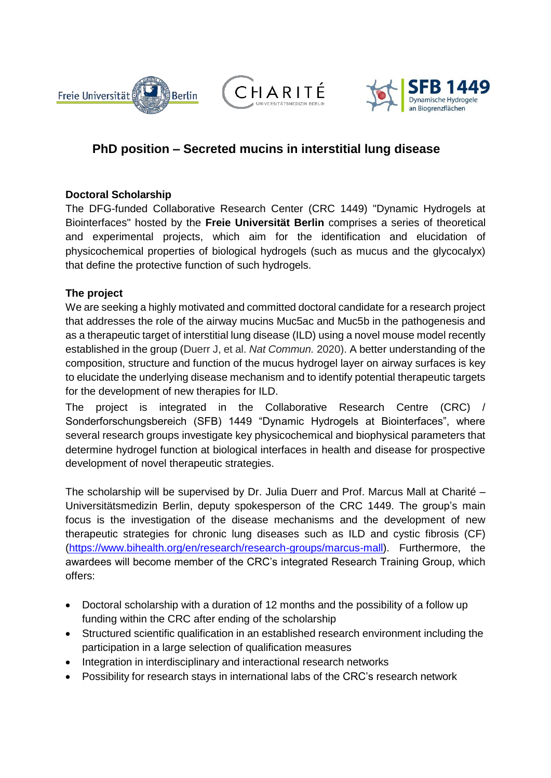





## **PhD position – Secreted mucins in interstitial lung disease**

## **Doctoral Scholarship**

The DFG-funded Collaborative Research Center (CRC 1449) "Dynamic Hydrogels at Biointerfaces" hosted by the **Freie Universität Berlin** comprises a series of theoretical and experimental projects, which aim for the identification and elucidation of physicochemical properties of biological hydrogels (such as mucus and the glycocalyx) that define the protective function of such hydrogels.

## **The project**

We are seeking a highly motivated and committed doctoral candidate for a research project that addresses the role of the airway mucins Muc5ac and Muc5b in the pathogenesis and as a therapeutic target of interstitial lung disease (ILD) using a novel mouse model recently established in the group (Duerr J, et al. *Nat Commun.* 2020). A better understanding of the composition, structure and function of the mucus hydrogel layer on airway surfaces is key to elucidate the underlying disease mechanism and to identify potential therapeutic targets for the development of new therapies for ILD.

The project is integrated in the Collaborative Research Centre (CRC) / Sonderforschungsbereich (SFB) 1449 "Dynamic Hydrogels at Biointerfaces", where several research groups investigate key physicochemical and biophysical parameters that determine hydrogel function at biological interfaces in health and disease for prospective development of novel therapeutic strategies.

The scholarship will be supervised by Dr. Julia Duerr and Prof. Marcus Mall at Charité – Universitätsmedizin Berlin, deputy spokesperson of the CRC 1449. The group's main focus is the investigation of the disease mechanisms and the development of new therapeutic strategies for chronic lung diseases such as ILD and cystic fibrosis (CF) [\(https://www.bihealth.org/en/research/research-groups/marcus-mall\)](https://www.bihealth.org/en/research/research-groups/marcus-mall). Furthermore, the awardees will become member of the CRC's integrated Research Training Group, which offers:

- Doctoral scholarship with a duration of 12 months and the possibility of a follow up funding within the CRC after ending of the scholarship
- Structured scientific qualification in an established research environment including the participation in a large selection of qualification measures
- Integration in interdisciplinary and interactional research networks
- Possibility for research stays in international labs of the CRC's research network